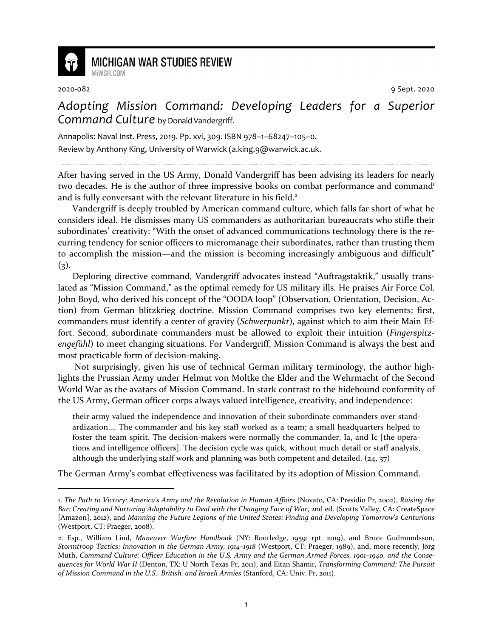

## **MICHIGAN WAR STUDIES REVIEW**

2020-082 9 Sept. 2020

## *Adopting Mission Command: Developing Leaders for a Superior Command Culture* by Donald Vandergriff.

Annapolis: Naval Inst. Press, 2019. Pp. xvi, 309. ISBN 978–1–68247–105–0. Review by Anthony King, University of Warwick (a.king.9@warwick.ac.uk.

After having served in the US Army, Donald Vandergriff has been advising its leaders for nearly two decades. He is the author of three impressive books on combat performance and command<sup>1</sup> and is fully conversant with the relevant literature in his field.<sup>2</sup>

Vandergriff is deeply troubled by American command culture, which falls far short of what he considers ideal. He dismisses many US commanders as authoritarian bureaucrats who stifle their subordinates' creativity: "With the onset of advanced communications technology there is the recurring tendency for senior officers to micromanage their subordinates, rather than trusting them to accomplish the mission—and the mission is becoming increasingly ambiguous and difficult"  $(3)$ .

Deploring directive command, Vandergriff advocates instead "Auftragstaktik," usually translated as "Mission Command," as the optimal remedy for US military ills. He praises Air Force Col. John Boyd, who derived his concept of the "OODA loop" (Observation, Orientation, Decision, Action) from German blitzkrieg doctrine. Mission Command comprises two key elements: first, commanders must identify a center of gravity (*Schwerpunkt*), against which to aim their Main Effort. Second, subordinate commanders must be allowed to exploit their intuition (*Fingerspitzengefühl*) to meet changing situations. For Vandergriff, Mission Command is always the best and most practicable form of decision-making.

 Not surprisingly, given his use of technical German military terminology, the author highlights the Prussian Army under Helmut von Moltke the Elder and the Wehrmacht of the Second World War as the avatars of Mission Command. In stark contrast to the hidebound conformity of the US Army, German officer corps always valued intelligence, creativity, and independence:

their army valued the independence and innovation of their subordinate commanders over standardization.… The commander and his key staff worked as a team; a small headquarters helped to foster the team spirit. The decision-makers were normally the commander, Ia, and Ic [the operations and intelligence officers]. The decision cycle was quick, without much detail or staff analysis, although the underlying staff work and planning was both competent and detailed.  $(24, 37)$ 

The German Army's combat effectiveness was facilitated by its adoption of Mission Command.

<sup>1.</sup> *The Path to Victory: America's Army and the Revolution in Human Affairs* (Novato, CA: Presidio Pr, 2002), *Raising the Bar: Creating and Nurturing Adaptability to Deal with the Changing Face of War*, 2nd ed. (Scotts Valley, CA: CreateSpace [Amazon], 2012), and *Manning the Future Legions of the United States: Finding and Developing Tomorrow's Centurions* (Westport, CT: Praeger, 2008).

<sup>2.</sup> Esp., William Lind, *Maneuver Warfare Handbook* (NY: Routledge, 1959; rpt. 2019), and Bruce Gudmundsson, *Stormtroop Tactics: Innovation in the German Army, 1914–1918* (Westport, CT: Praeger, 1989), and, more recently, Jörg Muth, *Command Culture: Officer Education in the U.S. Army and the German Armed Forces, 1901–1940, and the Consequences for World War II* (Denton, TX: U North Texas Pr, 2011), and Eitan Shamir, *Transforming Command: The Pursuit of Mission Command in the U.S., British, and Israeli Armies* (Stanford, CA: Univ. Pr, 2011).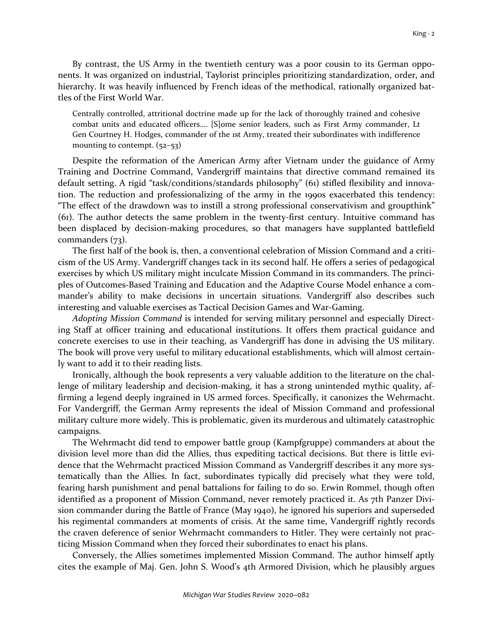By contrast, the US Army in the twentieth century was a poor cousin to its German opponents. It was organized on industrial, Taylorist principles prioritizing standardization, order, and hierarchy. It was heavily influenced by French ideas of the methodical, rationally organized battles of the First World War.

Centrally controlled, attritional doctrine made up for the lack of thoroughly trained and cohesive combat units and educated officers…. [S]ome senior leaders, such as First Army commander, Lt Gen Courtney H. Hodges, commander of the 1st Army, treated their subordinates with indifference mounting to contempt. (52-53)

Despite the reformation of the American Army after Vietnam under the guidance of Army Training and Doctrine Command, Vandergriff maintains that directive command remained its default setting. A rigid "task/conditions/standards philosophy" (61) stifled flexibility and innovation. The reduction and professionalizing of the army in the 1990s exacerbated this tendency: "The effect of the drawdown was to instill a strong professional conservativism and groupthink" (61). The author detects the same problem in the twenty-first century. Intuitive command has been displaced by decision-making procedures, so that managers have supplanted battlefield commanders (73).

The first half of the book is, then, a conventional celebration of Mission Command and a criticism of the US Army. Vandergriff changes tack in its second half. He offers a series of pedagogical exercises by which US military might inculcate Mission Command in its commanders. The principles of Outcomes-Based Training and Education and the Adaptive Course Model enhance a commander's ability to make decisions in uncertain situations. Vandergriff also describes such interesting and valuable exercises as Tactical Decision Games and War-Gaming.

*Adopting Mission Command* is intended for serving military personnel and especially Directing Staff at officer training and educational institutions. It offers them practical guidance and concrete exercises to use in their teaching, as Vandergriff has done in advising the US military. The book will prove very useful to military educational establishments, which will almost certainly want to add it to their reading lists.

Ironically, although the book represents a very valuable addition to the literature on the challenge of military leadership and decision-making, it has a strong unintended mythic quality, affirming a legend deeply ingrained in US armed forces. Specifically, it canonizes the Wehrmacht. For Vandergriff, the German Army represents the ideal of Mission Command and professional military culture more widely. This is problematic, given its murderous and ultimately catastrophic campaigns.

The Wehrmacht did tend to empower battle group (Kampfgruppe) commanders at about the division level more than did the Allies, thus expediting tactical decisions. But there is little evidence that the Wehrmacht practiced Mission Command as Vandergriff describes it any more systematically than the Allies. In fact, subordinates typically did precisely what they were told, fearing harsh punishment and penal battalions for failing to do so. Erwin Rommel, though often identified as a proponent of Mission Command, never remotely practiced it. As 7th Panzer Division commander during the Battle of France (May 1940), he ignored his superiors and superseded his regimental commanders at moments of crisis. At the same time, Vandergriff rightly records the craven deference of senior Wehrmacht commanders to Hitler. They were certainly not practicing Mission Command when they forced their subordinates to enact his plans.

Conversely, the Allies sometimes implemented Mission Command. The author himself aptly cites the example of Maj. Gen. John S. Wood's 4th Armored Division, which he plausibly argues